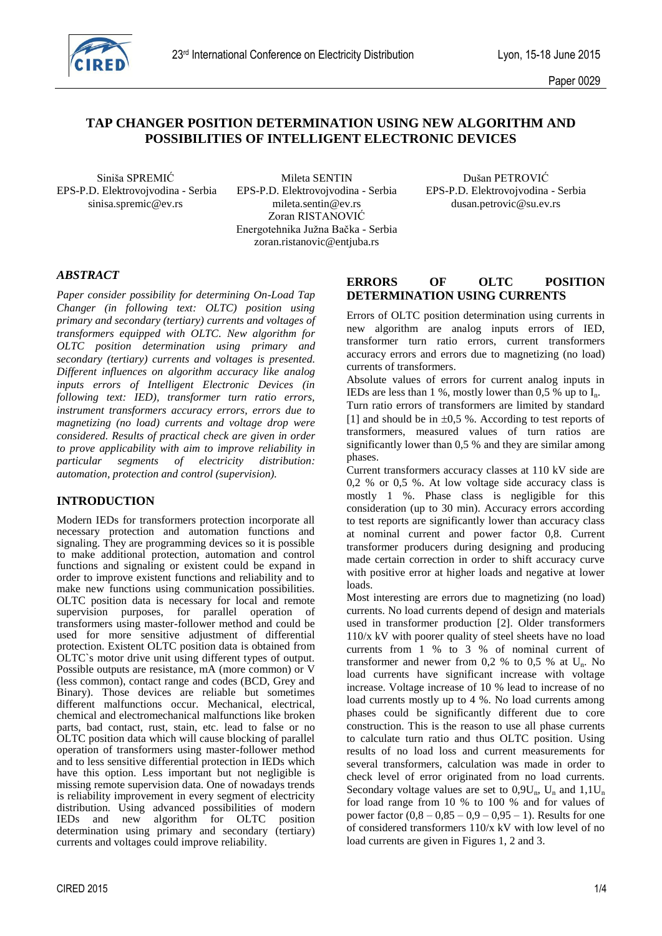

# **TAP CHANGER POSITION DETERMINATION USING NEW ALGORITHM AND POSSIBILITIES OF INTELLIGENT ELECTRONIC DEVICES**

Siniša SPREMIĆ Mileta SENTIN Dušan PETROVIĆ EPS-P.D. Elektrovojvodina - Serbia EPS-P.D. Elektrovojvodina - Serbia EPS-P.D. Elektrovojvodina - Serbia sinisa.spremic@ev.rs mileta.sentin@ev.rs dusan.petrovic@su.ev.rs Zoran RISTANOVIĆ Energotehnika Južna Bačka - Serbia zoran.ristanovic@entjuba.rs

## *ABSTRACT*

*Paper consider possibility for determining On-Load Tap Changer (in following text: OLTC) position using primary and secondary (tertiary) currents and voltages of transformers equipped with OLTC. New algorithm for OLTC position determination using primary and secondary (tertiary) currents and voltages is presented. Different influences on algorithm accuracy like analog inputs errors of Intelligent Electronic Devices (in following text: IED), transformer turn ratio errors, instrument transformers accuracy errors, errors due to magnetizing (no load) currents and voltage drop were considered. Results of practical check are given in order to prove applicability with aim to improve reliability in particular segments of electricity distribution: automation, protection and control (supervision).*

#### **INTRODUCTION**

Modern IEDs for transformers protection incorporate all necessary protection and automation functions and signaling. They are programming devices so it is possible to make additional protection, automation and control functions and signaling or existent could be expand in order to improve existent functions and reliability and to make new functions using communication possibilities. OLTC position data is necessary for local and remote supervision purposes, for parallel operation of transformers using master-follower method and could be used for more sensitive adjustment of differential protection. Existent OLTC position data is obtained from OLTC`s motor drive unit using different types of output. Possible outputs are resistance, mA (more common) or V (less common), contact range and codes (BCD, Grey and Binary). Those devices are reliable but sometimes different malfunctions occur. Mechanical, electrical, chemical and electromechanical malfunctions like broken parts, bad contact, rust, stain, etc. lead to false or no OLTC position data which will cause blocking of parallel operation of transformers using master-follower method and to less sensitive differential protection in IEDs which have this option. Less important but not negligible is missing remote supervision data. One of nowadays trends is reliability improvement in every segment of electricity distribution. Using advanced possibilities of modern IEDs and new algorithm for OLTC position determination using primary and secondary (tertiary) currents and voltages could improve reliability.

#### **ERRORS OF OLTC POSITION DETERMINATION USING CURRENTS**

Errors of OLTC position determination using currents in new algorithm are analog inputs errors of IED, transformer turn ratio errors, current transformers accuracy errors and errors due to magnetizing (no load) currents of transformers.

Absolute values of errors for current analog inputs in IEDs are less than 1 %, mostly lower than 0,5 % up to  $I_n$ . Turn ratio errors of transformers are limited by standard [1] and should be in  $\pm 0.5$  %. According to test reports of transformers, measured values of turn ratios are significantly lower than 0,5 % and they are similar among phases.

Current transformers accuracy classes at 110 kV side are 0,2 % or 0,5 %. At low voltage side accuracy class is mostly 1 %. Phase class is negligible for this consideration (up to 30 min). Accuracy errors according to test reports are significantly lower than accuracy class at nominal current and power factor 0,8. Current transformer producers during designing and producing made certain correction in order to shift accuracy curve with positive error at higher loads and negative at lower loads.

Most interesting are errors due to magnetizing (no load) currents. No load currents depend of design and materials used in transformer production [2]. Older transformers 110/x kV with poorer quality of steel sheets have no load currents from 1 % to 3 % of nominal current of transformer and newer from  $0.2 %$  to  $0.5 %$  at  $U_n$ . No load currents have significant increase with voltage increase. Voltage increase of 10 % lead to increase of no load currents mostly up to 4 %. No load currents among phases could be significantly different due to core construction. This is the reason to use all phase currents to calculate turn ratio and thus OLTC position. Using results of no load loss and current measurements for several transformers, calculation was made in order to check level of error originated from no load currents. Secondary voltage values are set to  $0.9U_n$ ,  $U_n$  and  $1.1U_n$ for load range from 10 % to 100 % and for values of power factor  $(0,8 - 0,85 - 0,9 - 0,95 - 1)$ . Results for one of considered transformers 110/x kV with low level of no load currents are given in Figures 1, 2 and 3.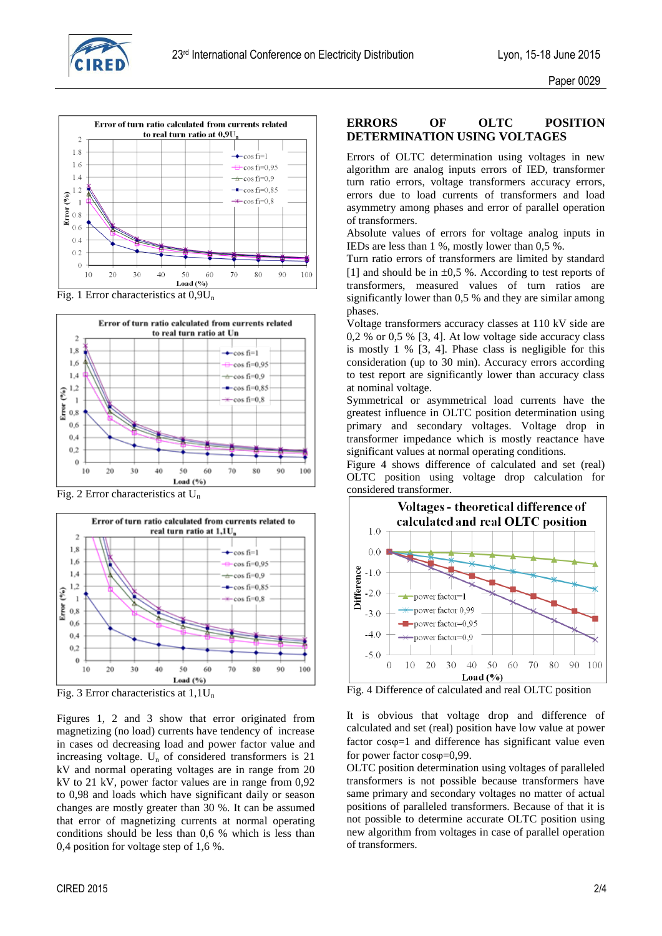



Fig. 1 Error characteristics at  $0.9U_n$ 



Fig. 2 Error characteristics at  $U_n$ 



Fig. 3 Error characteristics at  $1,1U_n$ 

Figures 1, 2 and 3 show that error originated from magnetizing (no load) currents have tendency of increase in cases od decreasing load and power factor value and increasing voltage.  $U_n$  of considered transformers is 21 kV and normal operating voltages are in range from 20 kV to 21 kV, power factor values are in range from 0,92 to 0,98 and loads which have significant daily or season changes are mostly greater than 30 %. It can be assumed that error of magnetizing currents at normal operating conditions should be less than 0,6 % which is less than 0,4 position for voltage step of 1,6 %.

## **ERRORS OF OLTC POSITION DETERMINATION USING VOLTAGES**

Errors of OLTC determination using voltages in new algorithm are analog inputs errors of IED, transformer turn ratio errors, voltage transformers accuracy errors, errors due to load currents of transformers and load asymmetry among phases and error of parallel operation of transformers.

Absolute values of errors for voltage analog inputs in IEDs are less than 1 %, mostly lower than 0,5 %.

Turn ratio errors of transformers are limited by standard [1] and should be in  $\pm 0.5$  %. According to test reports of transformers, measured values of turn ratios are significantly lower than 0,5 % and they are similar among phases.

Voltage transformers accuracy classes at 110 kV side are 0,2 % or 0,5 % [3, 4]. At low voltage side accuracy class is mostly 1 % [3, 4]. Phase class is negligible for this consideration (up to 30 min). Accuracy errors according to test report are significantly lower than accuracy class at nominal voltage.

Symmetrical or asymmetrical load currents have the greatest influence in OLTC position determination using primary and secondary voltages. Voltage drop in transformer impedance which is mostly reactance have significant values at normal operating conditions.

Figure 4 shows difference of calculated and set (real) OLTC position using voltage drop calculation for considered transformer.



Fig. 4 Difference of calculated and real OLTC position

It is obvious that voltage drop and difference of calculated and set (real) position have low value at power factor  $cos\varphi=1$  and difference has significant value even for power factor  $cos(\phi=0.99$ .

OLTC position determination using voltages of paralleled transformers is not possible because transformers have same primary and secondary voltages no matter of actual positions of paralleled transformers. Because of that it is not possible to determine accurate OLTC position using new algorithm from voltages in case of parallel operation of transformers.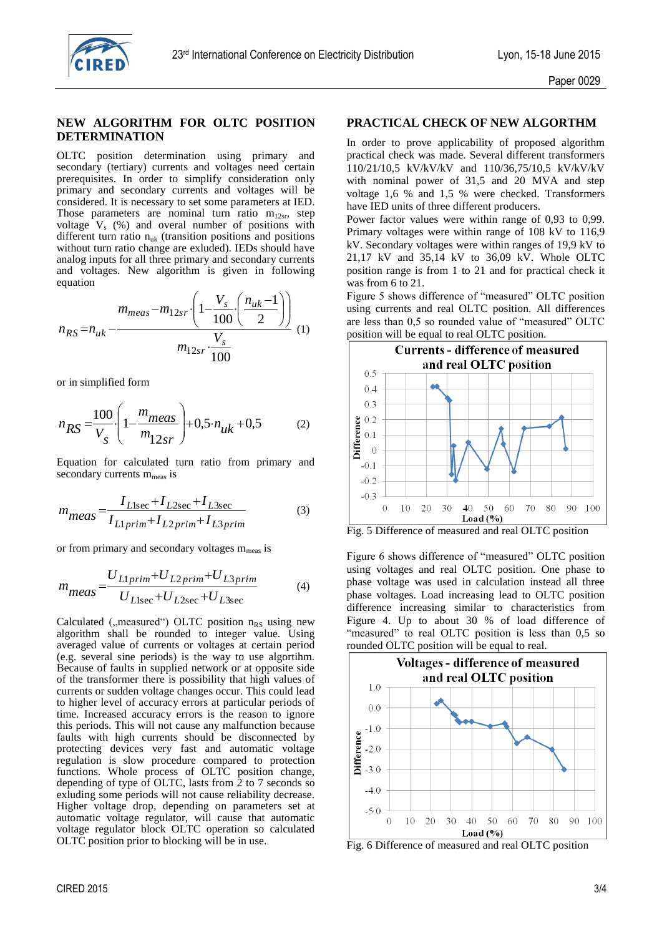

#### **NEW ALGORITHM FOR OLTC POSITION DETERMINATION**

OLTC position determination using primary and secondary (tertiary) currents and voltages need certain prerequisites. In order to simplify consideration only primary and secondary currents and voltages will be considered. It is necessary to set some parameters at IED. Those parameters are nominal turn ratio  $m_{12sr}$ , step voltage  $V_s$  (%) and overal number of positions with different turn ratio  $n_{uk}$  (transition positions and positions without turn ratio change are exluded). IEDs should have analog inputs for all three primary and secondary currents and voltages. New algorithm is given in following equation

equation  
\n
$$
n_{RS} = n_{uk} - \frac{m_{meas} - m_{12sr} \cdot \left(1 - \frac{V_s}{100} \cdot \left(\frac{n_{uk} - 1}{2}\right)\right)}{m_{12sr} \cdot \frac{V_s}{100}}
$$
\n(1)

or in simplified form

$$
n_{RS} = \frac{100}{V_s} \left( 1 - \frac{m_{meas}}{m_{12sr}} \right) + 0.5 \cdot n_{uk} + 0.5
$$
 (2)

Equation for calculated turn ratio from primary and secondary currents  $m_{meas}$  is

$$
m_{meas} = \frac{I_{Llsec} + I_{L2sec} + I_{L3sec}}{I_{L1prim} + I_{L2prim} + I_{L3prim}}
$$
(3)

or from primary and secondary voltages  $m_{\text{meas}}$  is

$$
m_{meas} = \frac{U_{L1prim} + U_{L2prim} + U_{L3prim}}{U_{L1sec} + U_{L2sec} + U_{L3sec}}
$$
(4)

Calculated ( $m$ easured") OLTC position  $n_{RS}$  using new algorithm shall be rounded to integer value. Using averaged value of currents or voltages at certain period (e.g. several sine periods) is the way to use algortihm. Because of faults in supplied network or at opposite side of the transformer there is possibility that high values of currents or sudden voltage changes occur. This could lead to higher level of accuracy errors at particular periods of time. Increased accuracy errors is the reason to ignore this periods. This will not cause any malfunction because faults with high currents should be disconnected by protecting devices very fast and automatic voltage regulation is slow procedure compared to protection functions. Whole process of OLTC position change, depending of type of OLTC, lasts from  $\frac{1}{2}$  to 7 seconds so exluding some periods will not cause reliability decrease. Higher voltage drop, depending on parameters set at automatic voltage regulator, will cause that automatic voltage regulator block OLTC operation so calculated OLTC position prior to blocking will be in use.

#### **PRACTICAL CHECK OF NEW ALGORTHM**

In order to prove applicability of proposed algorithm practical check was made. Several different transformers 110/21/10,5 kV/kV/kV and 110/36,75/10,5 kV/kV/kV with nominal power of 31,5 and 20 MVA and step voltage 1,6 % and 1,5 % were checked. Transformers have IED units of three different producers.

Power factor values were within range of 0,93 to 0,99. Primary voltages were within range of 108 kV to 116,9 kV. Secondary voltages were within ranges of 19,9 kV to 21,17 kV and 35,14 kV to 36,09 kV. Whole OLTC position range is from 1 to 21 and for practical check it was from 6 to 21.

Figure 5 shows difference of "measured" OLTC position using currents and real OLTC position. All differences are less than 0,5 so rounded value of "measured" OLTC position will be equal to real OLTC position.



Fig. 5 Difference of measured and real OLTC position

Figure 6 shows difference of "measured" OLTC position using voltages and real OLTC position. One phase to phase voltage was used in calculation instead all three phase voltages. Load increasing lead to OLTC position difference increasing similar to characteristics from Figure 4. Up to about 30 % of load difference of "measured" to real OLTC position is less than 0.5 so rounded OLTC position will be equal to real.



Fig. 6 Difference of measured and real OLTC position